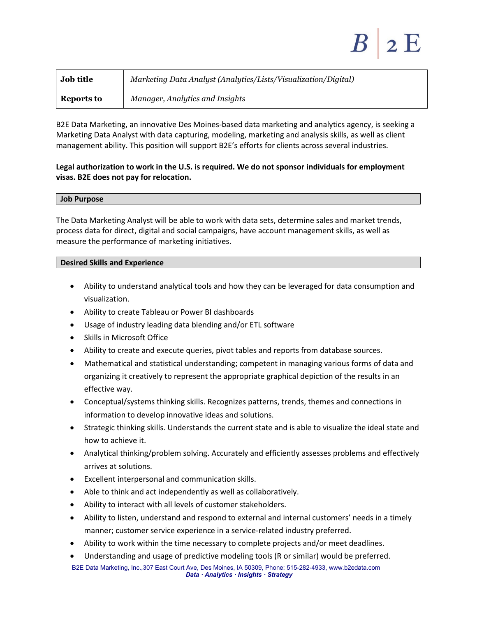| <b>Job title</b> | Marketing Data Analyst (Analytics/Lists/Visualization/Digital) |
|------------------|----------------------------------------------------------------|
| Reports to       | Manager, Analytics and Insights                                |

B2E Data Marketing, an innovative Des Moines‐based data marketing and analytics agency, is seeking a Marketing Data Analyst with data capturing, modeling, marketing and analysis skills, as well as client management ability. This position will support B2E's efforts for clients across several industries.

# **Legal authorization to work in the U.S. is required. We do not sponsor individuals for employment visas. B2E does not pay for relocation.**

#### **Job Purpose**

The Data Marketing Analyst will be able to work with data sets, determine sales and market trends, process data for direct, digital and social campaigns, have account management skills, as well as measure the performance of marketing initiatives.

## **Desired Skills and Experience**

- Ability to understand analytical tools and how they can be leveraged for data consumption and visualization.
- Ability to create Tableau or Power BI dashboards
- Usage of industry leading data blending and/or ETL software
- Skills in Microsoft Office
- Ability to create and execute queries, pivot tables and reports from database sources.
- Mathematical and statistical understanding; competent in managing various forms of data and organizing it creatively to represent the appropriate graphical depiction of the results in an effective way.
- Conceptual/systems thinking skills. Recognizes patterns, trends, themes and connections in information to develop innovative ideas and solutions.
- Strategic thinking skills. Understands the current state and is able to visualize the ideal state and how to achieve it.
- Analytical thinking/problem solving. Accurately and efficiently assesses problems and effectively arrives at solutions.
- Excellent interpersonal and communication skills.
- Able to think and act independently as well as collaboratively.
- Ability to interact with all levels of customer stakeholders.
- Ability to listen, understand and respond to external and internal customers' needs in a timely manner; customer service experience in a service-related industry preferred.
- Ability to work within the time necessary to complete projects and/or meet deadlines.
- Understanding and usage of predictive modeling tools (R or similar) would be preferred.

B2E Data Marketing, Inc.,307 East Court Ave, Des Moines, IA 50309, Phone: 515-282-4933, www.b2edata.com  *Data · Analytics · Insights · Strategy*